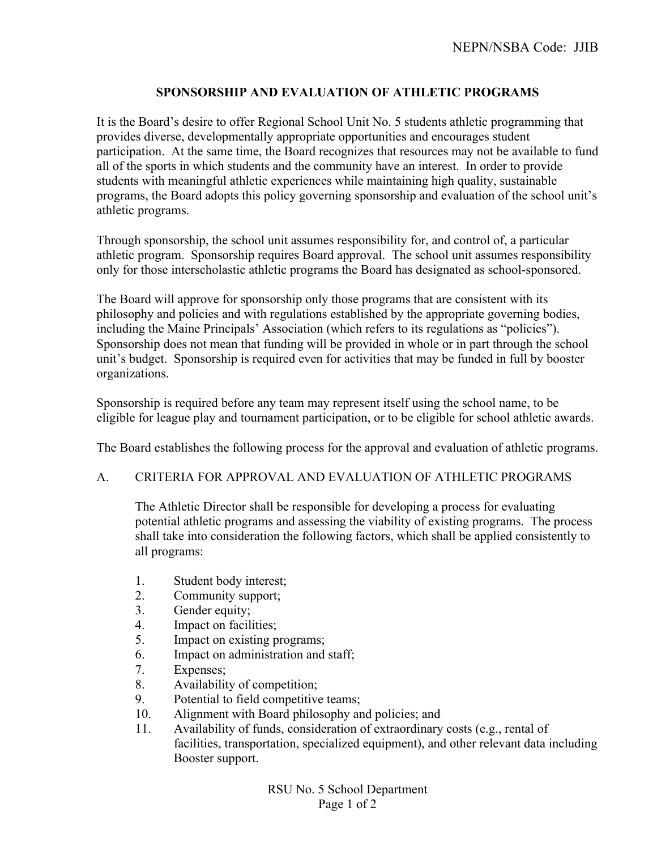# **SPONSORSHIP AND EVALUATION OF ATHLETIC PROGRAMS**

It is the Board's desire to offer Regional School Unit No. 5 students athletic programming that provides diverse, developmentally appropriate opportunities and encourages student participation. At the same time, the Board recognizes that resources may not be available to fund all of the sports in which students and the community have an interest. In order to provide students with meaningful athletic experiences while maintaining high quality, sustainable programs, the Board adopts this policy governing sponsorship and evaluation of the school unit's athletic programs.

Through sponsorship, the school unit assumes responsibility for, and control of, a particular athletic program. Sponsorship requires Board approval. The school unit assumes responsibility only for those interscholastic athletic programs the Board has designated as school-sponsored.

The Board will approve for sponsorship only those programs that are consistent with its philosophy and policies and with regulations established by the appropriate governing bodies, including the Maine Principals' Association (which refers to its regulations as "policies"). Sponsorship does not mean that funding will be provided in whole or in part through the school unit's budget. Sponsorship is required even for activities that may be funded in full by booster organizations.

Sponsorship is required before any team may represent itself using the school name, to be eligible for league play and tournament participation, or to be eligible for school athletic awards.

The Board establishes the following process for the approval and evaluation of athletic programs.

### A. CRITERIA FOR APPROVAL AND EVALUATION OF ATHLETIC PROGRAMS

The Athletic Director shall be responsible for developing a process for evaluating potential athletic programs and assessing the viability of existing programs. The process shall take into consideration the following factors, which shall be applied consistently to all programs:

- 1. Student body interest;
- 2. Community support;
- 3. Gender equity;
- 4. Impact on facilities;
- 5. Impact on existing programs;
- 6. Impact on administration and staff;
- 7. Expenses;
- 8. Availability of competition;
- 9. Potential to field competitive teams;
- 10. Alignment with Board philosophy and policies; and
- 11. Availability of funds, consideration of extraordinary costs (e.g., rental of facilities, transportation, specialized equipment), and other relevant data including Booster support.

RSU No. 5 School Department Page 1 of 2